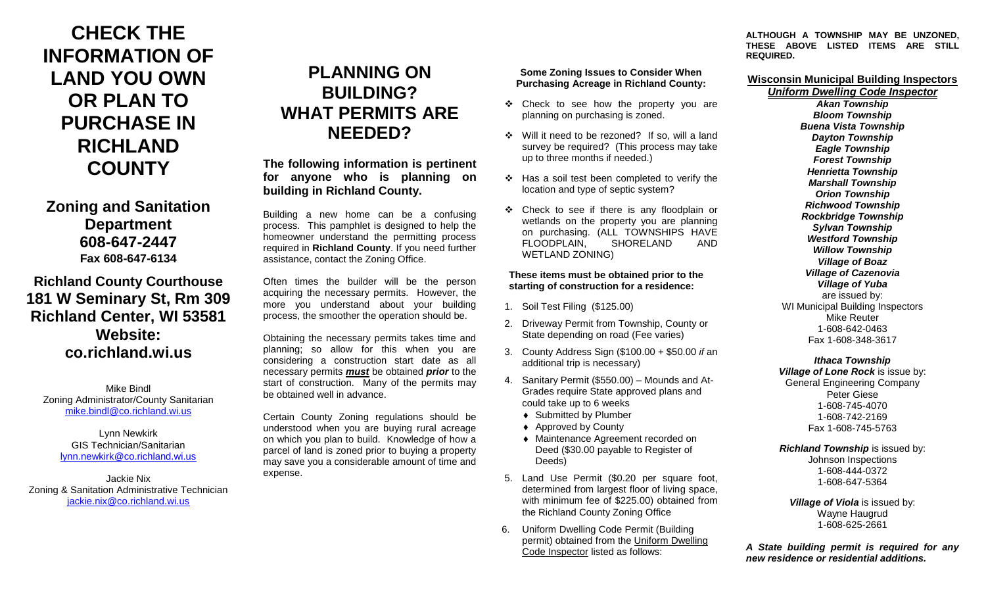# **CHECK THE INFORMATION OF LAND YOU OWN OR PLAN TO PURCHASE IN RICHLAND COUNTY**

## **Zoning and Sanitation Department 608-647-2447 Fax 608-647-6134**

## **Richland County Courthouse 181 W Seminary St, Rm 309 Richland Center, WI 53581 Website: co.richland.wi.us**

Mike Bindl Zoning Administrator/County Sanitarian [mike.bindl@co.richland.wi.us](mailto:mike.bindl@co.richland.wi.us)

> Lynn Newkirk GIS Technician/Sanitarian [lynn.newkirk@co.richland.wi.us](mailto:lynn.newkirk@co.richland.wi.us)

Jackie Nix Zoning & Sanitation Administrative Technician [jackie.nix@co.richland.wi.us](mailto:jackie.nix@co.richland.wi.us)

## **PLANNING ON BUILDING? WHAT PERMITS ARE NEEDED?**

**The following information is pertinent for anyone who is planning on building in Richland County.**

Building a new home can be a confusing process. This pamphlet is designed to help the homeowner understand the permitting process required in **Richland County**. If you need further assistance, contact the Zoning Office.

Often times the builder will be the person acquiring the necessary permits. However, the more you understand about your building process, the smoother the operation should be.

Obtaining the necessary permits takes time and planning; so allow for this when you are considering a construction start date as all necessary permits *must* be obtained *prior* to the start of construction. Many of the permits may be obtained well in advance.

Certain County Zoning regulations should be understood when you are buying rural acreage on which you plan to build. Knowledge of how a parcel of land is zoned prior to buying a property may save you a considerable amount of time and expense.

#### **Some Zoning Issues to Consider When Purchasing Acreage in Richland County:**

- Check to see how the property you are planning on purchasing is zoned.
- Will it need to be rezoned? If so, will a land survey be required? (This process may take up to three months if needed.)
- $\div$  Has a soil test been completed to verify the location and type of septic system?
- Check to see if there is any floodplain or wetlands on the property you are planning on purchasing. (ALL TOWNSHIPS HAVE FLOODPLAIN, SHORELAND AND WETLAND ZONING)

#### **These items must be obtained prior to the starting of construction for a residence:**

- 1. Soil Test Filing (\$125.00)
- 2. Driveway Permit from Township, County or State depending on road (Fee varies)
- 3. County Address Sign (\$100.00 + \$50.00 *if* an additional trip is necessary)
- 4. Sanitary Permit (\$550.00) Mounds and At-Grades require State approved plans and could take up to 6 weeks
	- ◆ Submitted by Plumber
	- ◆ Approved by County
	- Maintenance Agreement recorded on Deed (\$30.00 payable to Register of Deeds)
- 5. Land Use Permit (\$0.20 per square foot, determined from largest floor of living space, with minimum fee of \$225.00) obtained from the Richland County Zoning Office
- 6. Uniform Dwelling Code Permit (Building permit) obtained from the Uniform Dwelling Code Inspector listed as follows:

**ALTHOUGH A TOWNSHIP MAY BE UNZONED, THESE ABOVE LISTED ITEMS ARE STILL REQUIRED.**

#### **Wisconsin Municipal Building Inspectors**

*Uniform Dwelling Code Inspector Akan Township Bloom Township Buena Vista Township Dayton Township Eagle Township Forest Township Henrietta Township Marshall Township Orion Township Richwood Township Rockbridge Township Sylvan Township Westford Township Willow Township Village of Boaz Village of Cazenovia Village of Yuba* are issued by: WI Municipal Building Inspectors Mike Reuter 1-608-642-0463 Fax 1-608-348-3617

### *Ithaca Township*

*Village of Lone Rock* is issue by: General Engineering Company Peter Giese 1-608-745-4070 1-608-742-2169 Fax 1-608-745-5763

#### *Richland Township* is issued by:

Johnson Inspections 1-608-444-0372 1-608-647-5364

*Village of Viola* is issued by: Wayne Haugrud 1-608-625-2661

*A State building permit is required for any new residence or residential additions.*